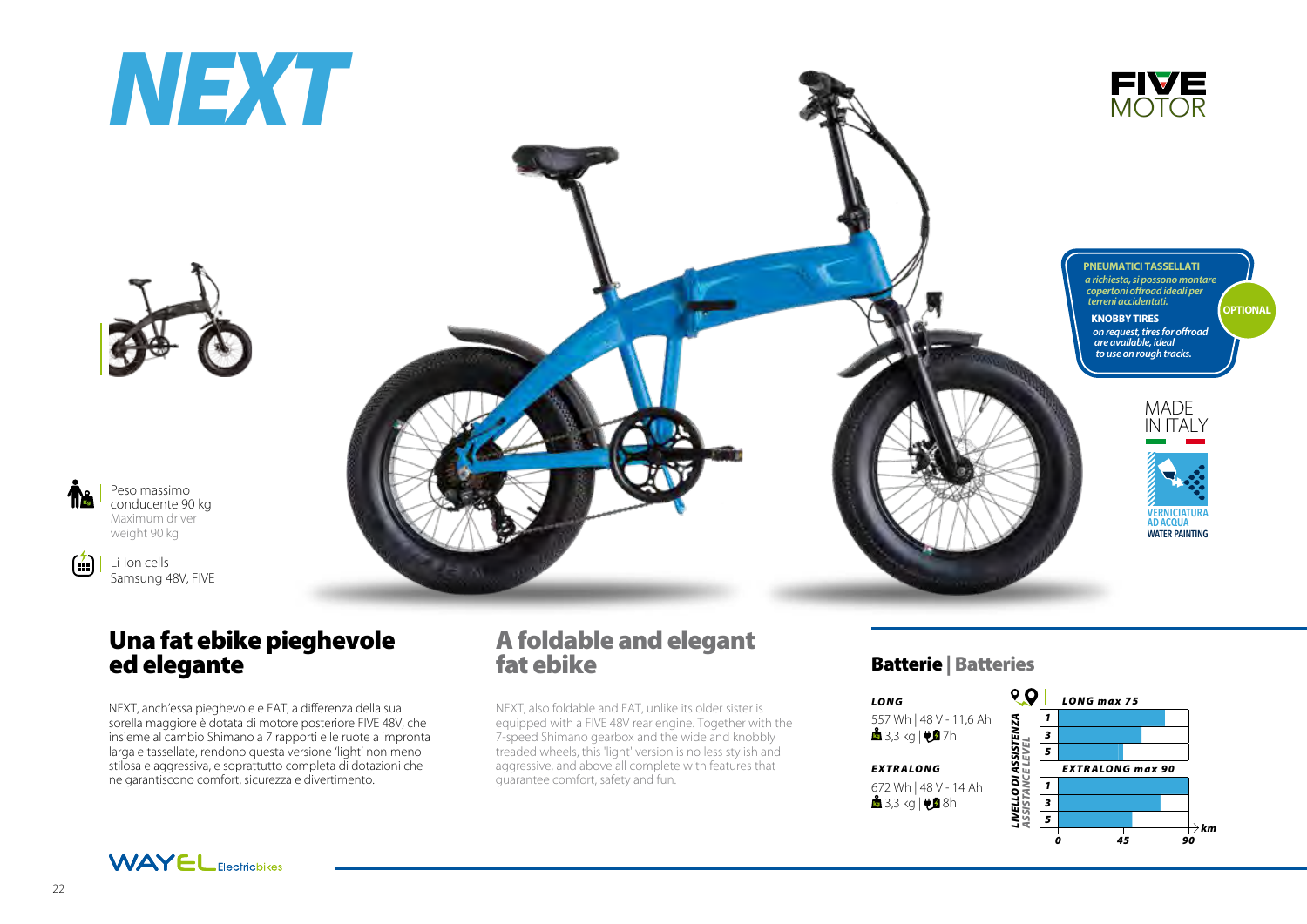



Peso massimo conducente 90 kg Maximum driver weight 90 kg

Kg

 $\left( \frac{1}{2} \right)$ 

Li-Ion cells Samsung 48V, FIVE

# Una fat ebike pieghevole ed elegante

NEXT, anch'essa pieghevole e FAT, a differenza della sua sorella maggiore è dotata di motore posteriore FIVE 48V, che insieme al cambio Shimano a 7 rapporti e le ruote a impronta larga e tassellate, rendono questa versione 'light' non meno stilosa e aggressiva, e soprattutto completa di dotazioni che ne garantiscono comfort, sicurezza e divertimento.



NEXT, also foldable and FAT, unlike its older sister is equipped with a FIVE 48V rear engine. Together with the 7-speed Shimano gearbox and the wide and knobbly treaded wheels, this 'light' version is no less stylish and aggressive, and above all complete with features that guarantee comfort, safety and fun.